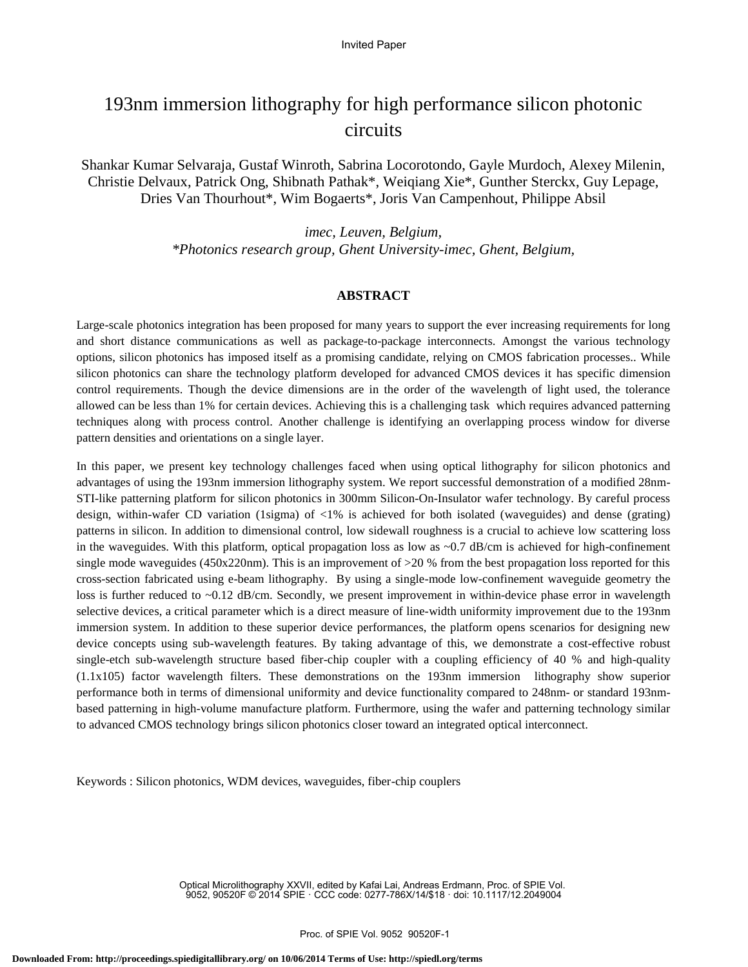# 193nm immersion lithography for high performance silicon photonic circuits

Shankar Kumar Selvaraja, Gustaf Winroth, Sabrina Locorotondo, Gayle Murdoch, Alexey Milenin, Christie Delvaux, Patrick Ong, Shibnath Pathak\*, Weiqiang Xie\*, Gunther Sterckx, Guy Lepage, Dries Van Thourhout\*, Wim Bogaerts\*, Joris Van Campenhout, Philippe Absil

> *imec, Leuven, Belgium, \*Photonics research group, Ghent University-imec, Ghent, Belgium,*

# **ABSTRACT**

Large-scale photonics integration has been proposed for many years to support the ever increasing requirements for long and short distance communications as well as package-to-package interconnects. Amongst the various technology options, silicon photonics has imposed itself as a promising candidate, relying on CMOS fabrication processes.. While silicon photonics can share the technology platform developed for advanced CMOS devices it has specific dimension control requirements. Though the device dimensions are in the order of the wavelength of light used, the tolerance allowed can be less than 1% for certain devices. Achieving this is a challenging task which requires advanced patterning techniques along with process control. Another challenge is identifying an overlapping process window for diverse pattern densities and orientations on a single layer.

In this paper, we present key technology challenges faced when using optical lithography for silicon photonics and advantages of using the 193nm immersion lithography system. We report successful demonstration of a modified 28nm-STI-like patterning platform for silicon photonics in 300mm Silicon-On-Insulator wafer technology. By careful process design, within-wafer CD variation (1sigma) of <1% is achieved for both isolated (waveguides) and dense (grating) patterns in silicon. In addition to dimensional control, low sidewall roughness is a crucial to achieve low scattering loss in the waveguides. With this platform, optical propagation loss as low as  $\sim 0.7$  dB/cm is achieved for high-confinement single mode waveguides (450x220nm). This is an improvement of >20 % from the best propagation loss reported for this cross-section fabricated using e-beam lithography. By using a single-mode low-confinement waveguide geometry the loss is further reduced to ~0.12 dB/cm. Secondly, we present improvement in within-device phase error in wavelength selective devices, a critical parameter which is a direct measure of line-width uniformity improvement due to the 193nm immersion system. In addition to these superior device performances, the platform opens scenarios for designing new device concepts using sub-wavelength features. By taking advantage of this, we demonstrate a cost-effective robust single-etch sub-wavelength structure based fiber-chip coupler with a coupling efficiency of 40 % and high-quality (1.1x105) factor wavelength filters. These demonstrations on the 193nm immersion lithography show superior performance both in terms of dimensional uniformity and device functionality compared to 248nm- or standard 193nmbased patterning in high-volume manufacture platform. Furthermore, using the wafer and patterning technology similar to advanced CMOS technology brings silicon photonics closer toward an integrated optical interconnect.

Keywords : Silicon photonics, WDM devices, waveguides, fiber-chip couplers

Optical Microlithography XXVII, edited by Kafai Lai, Andreas Erdmann, Proc. of SPIE Vol. 9052, 90520F © 2014 SPIE · CCC code: 0277-786X/14/\$18 · doi: 10.1117/12.2049004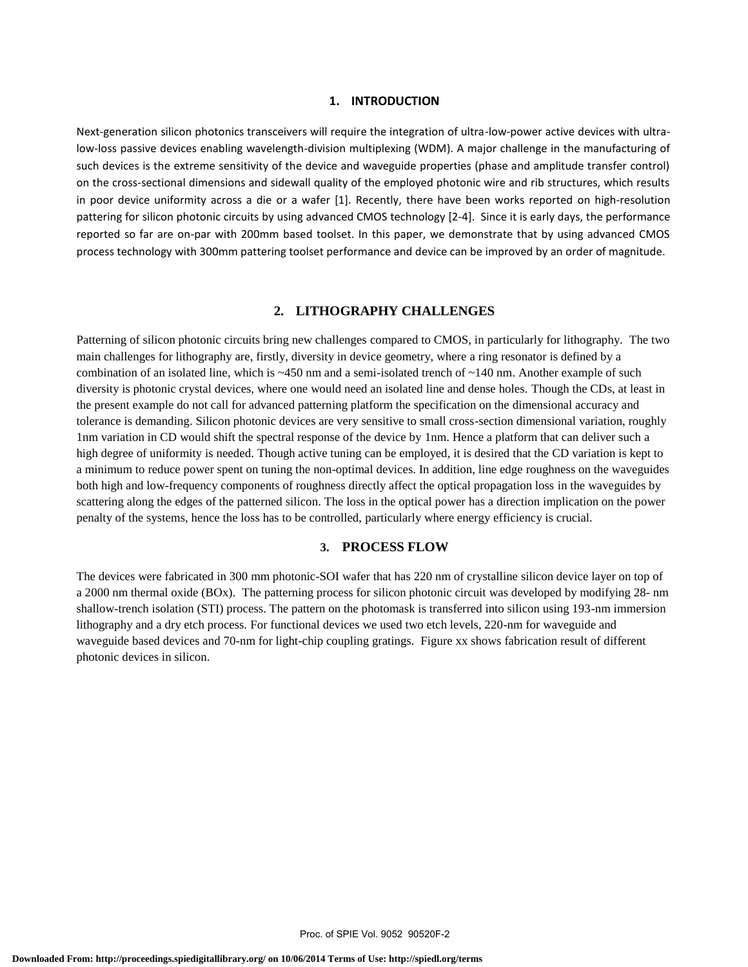# **1. INTRODUCTION**

Next-generation silicon photonics transceivers will require the integration of ultra-low-power active devices with ultralow-loss passive devices enabling wavelength-division multiplexing (WDM). A major challenge in the manufacturing of such devices is the extreme sensitivity of the device and waveguide properties (phase and amplitude transfer control) on the cross-sectional dimensions and sidewall quality of the employed photonic wire and rib structures, which results in poor device uniformity across a die or a wafer [1]. Recently, there have been works reported on high-resolution pattering for silicon photonic circuits by using advanced CMOS technology [2-4]. Since it is early days, the performance reported so far are on-par with 200mm based toolset. In this paper, we demonstrate that by using advanced CMOS process technology with 300mm pattering toolset performance and device can be improved by an order of magnitude.

# **2. LITHOGRAPHY CHALLENGES**

Patterning of silicon photonic circuits bring new challenges compared to CMOS, in particularly for lithography. The two main challenges for lithography are, firstly, diversity in device geometry, where a ring resonator is defined by a combination of an isolated line, which is  $\sim$ 450 nm and a semi-isolated trench of  $\sim$ 140 nm. Another example of such diversity is photonic crystal devices, where one would need an isolated line and dense holes. Though the CDs, at least in the present example do not call for advanced patterning platform the specification on the dimensional accuracy and tolerance is demanding. Silicon photonic devices are very sensitive to small cross-section dimensional variation, roughly 1nm variation in CD would shift the spectral response of the device by 1nm. Hence a platform that can deliver such a high degree of uniformity is needed. Though active tuning can be employed, it is desired that the CD variation is kept to a minimum to reduce power spent on tuning the non-optimal devices. In addition, line edge roughness on the waveguides both high and low-frequency components of roughness directly affect the optical propagation loss in the waveguides by scattering along the edges of the patterned silicon. The loss in the optical power has a direction implication on the power penalty of the systems, hence the loss has to be controlled, particularly where energy efficiency is crucial.

# **3. PROCESS FLOW**

The devices were fabricated in 300 mm photonic-SOI wafer that has 220 nm of crystalline silicon device layer on top of a 2000 nm thermal oxide (BOx). The patterning process for silicon photonic circuit was developed by modifying 28- nm shallow-trench isolation (STI) process. The pattern on the photomask is transferred into silicon using 193-nm immersion lithography and a dry etch process. For functional devices we used two etch levels, 220-nm for waveguide and waveguide based devices and 70-nm for light-chip coupling gratings. Figure xx shows fabrication result of different photonic devices in silicon.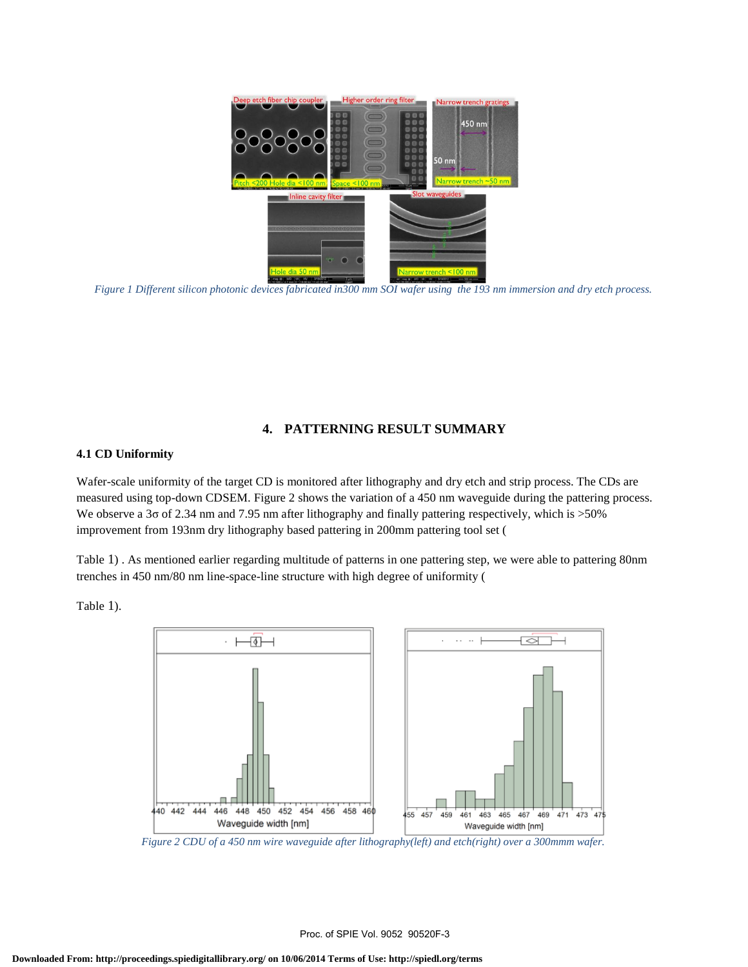

*Figure 1 Different silicon photonic devices fabricated in300 mm SOI wafer using the 193 nm immersion and dry etch process.*

# **4. PATTERNING RESULT SUMMARY**

## **4.1 CD Uniformity**

Wafer-scale uniformity of the target CD is monitored after lithography and dry etch and strip process. The CDs are measured using top-down CDSEM. Figure 2 shows the variation of a 450 nm waveguide during the pattering process. We observe a 3σ of 2.34 nm and 7.95 nm after lithography and finally pattering respectively, which is >50% improvement from 193nm dry lithography based pattering in 200mm pattering tool set (

Table 1) . As mentioned earlier regarding multitude of patterns in one pattering step, we were able to pattering 80nm trenches in 450 nm/80 nm line-space-line structure with high degree of uniformity (

Table 1).



*Figure 2 CDU of a 450 nm wire waveguide after lithography(left) and etch(right) over a 300mmm wafer.*

Proc. of SPIE Vol. 9052 90520F-3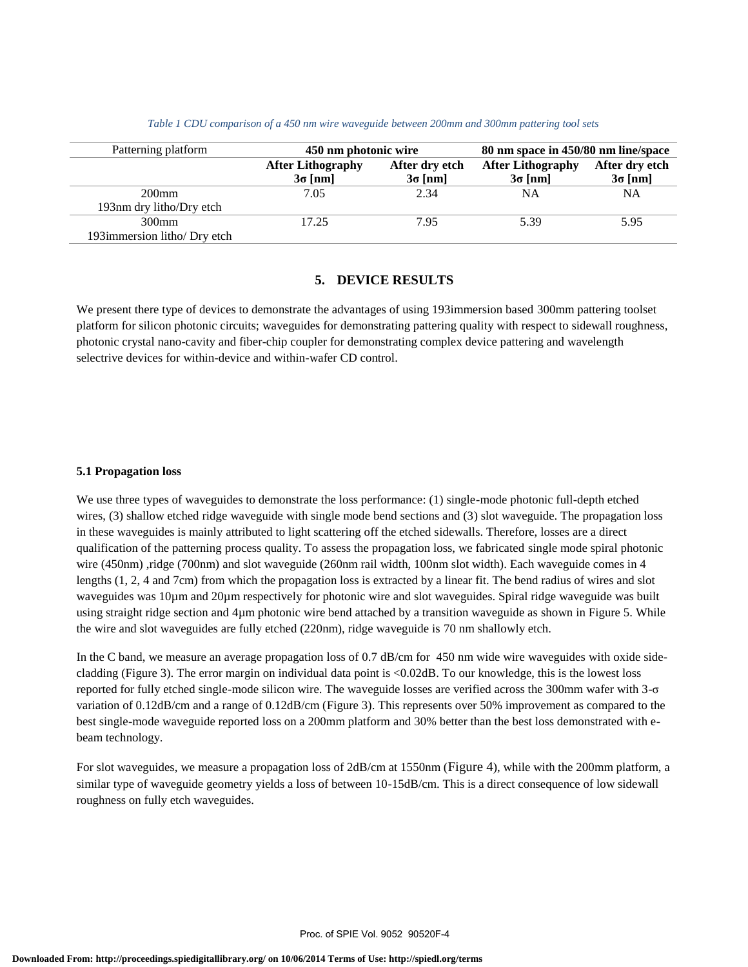| Patterning platform          | 450 nm photonic wire     |                | 80 nm space in 450/80 nm line/space |                |
|------------------------------|--------------------------|----------------|-------------------------------------|----------------|
|                              | <b>After Lithography</b> | After dry etch | <b>After Lithography</b>            | After dry etch |
|                              | $3\sigma$ [nm]           | $3\sigma$ [nm] | $3\sigma$ [nm]                      | $3\sigma$ [nm] |
| $200$ mm                     | 7.05                     | 2.34           | <b>NA</b>                           | NA             |
| 193nm dry litho/Dry etch     |                          |                |                                     |                |
| $300$ mm                     | 17.25                    | 7.95           | 5.39                                | 5.95           |
| 193immersion litho/ Dry etch |                          |                |                                     |                |

#### *Table 1 CDU comparison of a 450 nm wire waveguide between 200mm and 300mm pattering tool sets*

# **5. DEVICE RESULTS**

We present there type of devices to demonstrate the advantages of using 193immersion based 300mm pattering toolset platform for silicon photonic circuits; waveguides for demonstrating pattering quality with respect to sidewall roughness, photonic crystal nano-cavity and fiber-chip coupler for demonstrating complex device pattering and wavelength selectrive devices for within-device and within-wafer CD control.

### **5.1 Propagation loss**

We use three types of waveguides to demonstrate the loss performance: (1) single-mode photonic full-depth etched wires, (3) shallow etched ridge waveguide with single mode bend sections and (3) slot waveguide. The propagation loss in these waveguides is mainly attributed to light scattering off the etched sidewalls. Therefore, losses are a direct qualification of the patterning process quality. To assess the propagation loss, we fabricated single mode spiral photonic wire (450nm) ,ridge (700nm) and slot waveguide (260nm rail width, 100nm slot width). Each waveguide comes in 4 lengths (1, 2, 4 and 7cm) from which the propagation loss is extracted by a linear fit. The bend radius of wires and slot waveguides was 10µm and 20µm respectively for photonic wire and slot waveguides. Spiral ridge waveguide was built using straight ridge section and 4µm photonic wire bend attached by a transition waveguide as shown in Figure 5. While the wire and slot waveguides are fully etched (220nm), ridge waveguide is 70 nm shallowly etch.

In the C band, we measure an average propagation loss of 0.7 dB/cm for 450 nm wide wire waveguides with oxide sidecladding (Figure 3). The error margin on individual data point is <0.02dB. To our knowledge, this is the lowest loss reported for fully etched single-mode silicon wire. The waveguide losses are verified across the 300mm wafer with 3-σ variation of 0.12dB/cm and a range of 0.12dB/cm (Figure 3). This represents over 50% improvement as compared to the best single-mode waveguide reported loss on a 200mm platform and 30% better than the best loss demonstrated with ebeam technology.

For slot waveguides, we measure a propagation loss of 2dB/cm at 1550nm (Figure 4), while with the 200mm platform, a similar type of waveguide geometry yields a loss of between 10-15dB/cm. This is a direct consequence of low sidewall roughness on fully etch waveguides.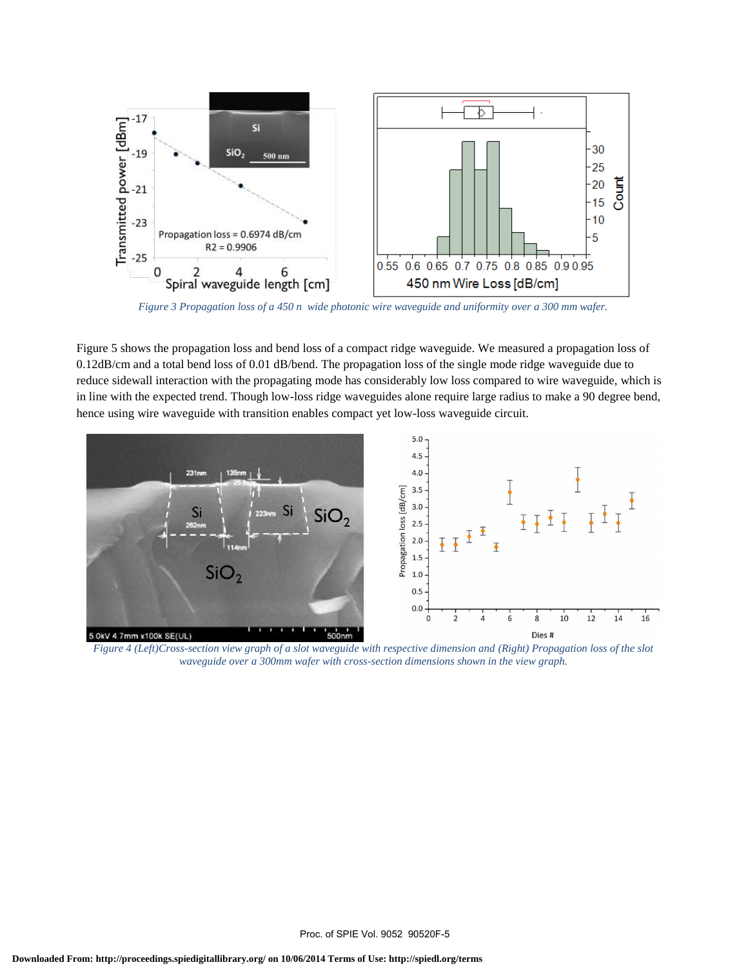

*Figure 3 Propagation loss of a 450 n wide photonic wire waveguide and uniformity over a 300 mm wafer.*

Figure 5 shows the propagation loss and bend loss of a compact ridge waveguide. We measured a propagation loss of 0.12dB/cm and a total bend loss of 0.01 dB/bend. The propagation loss of the single mode ridge waveguide due to reduce sidewall interaction with the propagating mode has considerably low loss compared to wire waveguide, which is in line with the expected trend. Though low-loss ridge waveguides alone require large radius to make a 90 degree bend, hence using wire waveguide with transition enables compact yet low-loss waveguide circuit.



*Figure 4 (Left)Cross-section view graph of a slot waveguide with respective dimension and (Right) Propagation loss of the slot waveguide over a 300mm wafer with cross-section dimensions shown in the view graph.*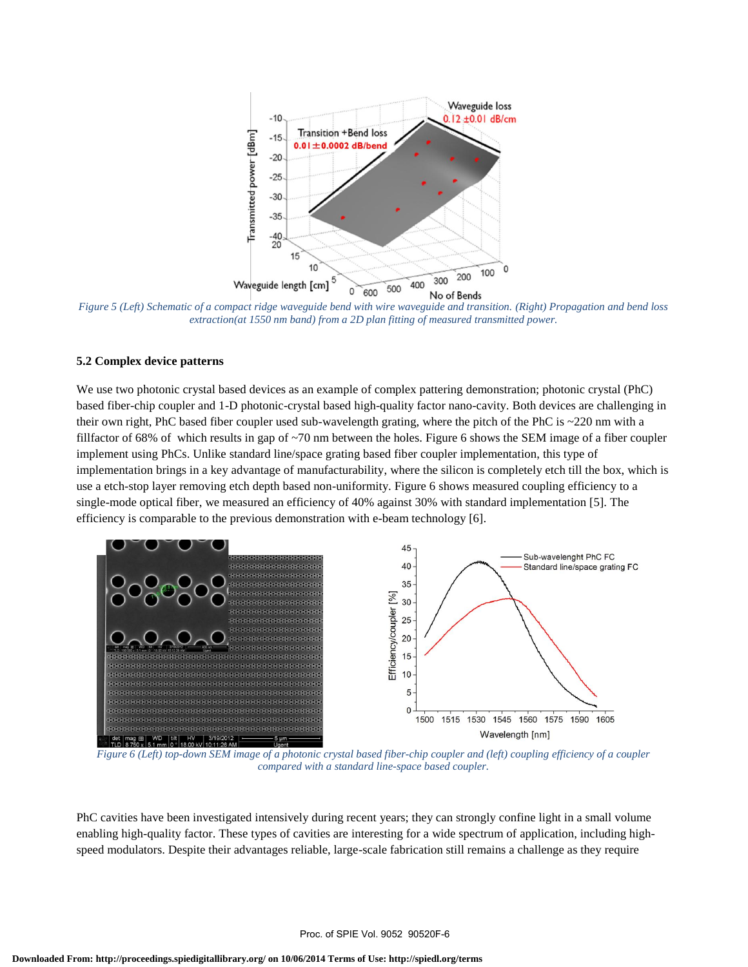

*Figure 5 (Left) Schematic of a compact ridge waveguide bend with wire waveguide and transition. (Right) Propagation and bend loss extraction(at 1550 nm band) from a 2D plan fitting of measured transmitted power.*

# **5.2 Complex device patterns**

We use two photonic crystal based devices as an example of complex pattering demonstration; photonic crystal (PhC) based fiber-chip coupler and 1-D photonic-crystal based high-quality factor nano-cavity. Both devices are challenging in their own right, PhC based fiber coupler used sub-wavelength grating, where the pitch of the PhC is ~220 nm with a fillfactor of 68% of which results in gap of ~70 nm between the holes. Figure 6 shows the SEM image of a fiber coupler implement using PhCs. Unlike standard line/space grating based fiber coupler implementation, this type of implementation brings in a key advantage of manufacturability, where the silicon is completely etch till the box, which is use a etch-stop layer removing etch depth based non-uniformity. Figure 6 shows measured coupling efficiency to a single-mode optical fiber, we measured an efficiency of 40% against 30% with standard implementation [5]. The efficiency is comparable to the previous demonstration with e-beam technology [6].



*Figure 6 (Left) top-down SEM image of a photonic crystal based fiber-chip coupler and (left) coupling efficiency of a coupler compared with a standard line-space based coupler.*

PhC cavities have been investigated intensively during recent years; they can strongly confine light in a small volume enabling high-quality factor. These types of cavities are interesting for a wide spectrum of application, including highspeed modulators. Despite their advantages reliable, large-scale fabrication still remains a challenge as they require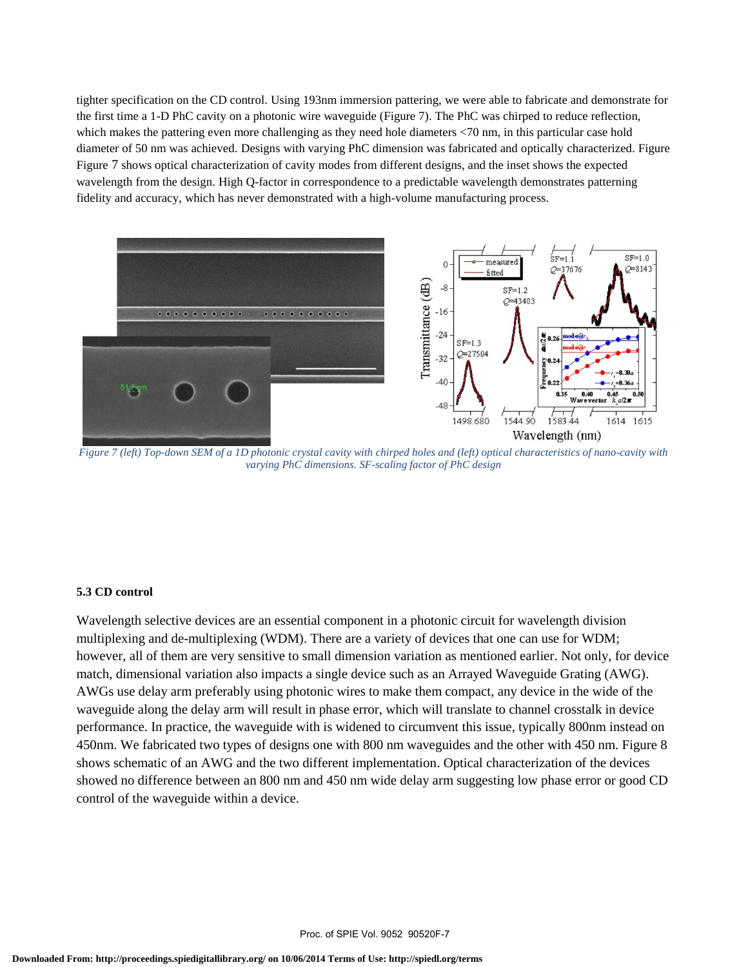tighter specification on the CD control. Using 193nm immersion pattering, we were able to fabricate and demonstrate for the first time a 1-D PhC cavity on a photonic wire waveguide (Figure 7). The PhC was chirped to reduce reflection, which makes the pattering even more challenging as they need hole diameters <70 nm, in this particular case hold diameter of 50 nm was achieved. Designs with varying PhC dimension was fabricated and optically characterized. Figure Figure 7 shows optical characterization of cavity modes from different designs, and the inset shows the expected wavelength from the design. High Q-factor in correspondence to a predictable wavelength demonstrates patterning fidelity and accuracy, which has never demonstrated with a high-volume manufacturing process.



*Figure 7 (left) Top-down SEM of a 1D photonic crystal cavity with chirped holes and (left) optical characteristics of nano-cavity with varying PhC dimensions. SF-scaling factor of PhC design*

# **5.3 CD control**

Wavelength selective devices are an essential component in a photonic circuit for wavelength division multiplexing and de-multiplexing (WDM). There are a variety of devices that one can use for WDM; however, all of them are very sensitive to small dimension variation as mentioned earlier. Not only, for device match, dimensional variation also impacts a single device such as an Arrayed Waveguide Grating (AWG). AWGs use delay arm preferably using photonic wires to make them compact, any device in the wide of the waveguide along the delay arm will result in phase error, which will translate to channel crosstalk in device performance. In practice, the waveguide with is widened to circumvent this issue, typically 800nm instead on 450nm. We fabricated two types of designs one with 800 nm waveguides and the other with 450 nm. Figure 8 shows schematic of an AWG and the two different implementation. Optical characterization of the devices showed no difference between an 800 nm and 450 nm wide delay arm suggesting low phase error or good CD control of the waveguide within a device.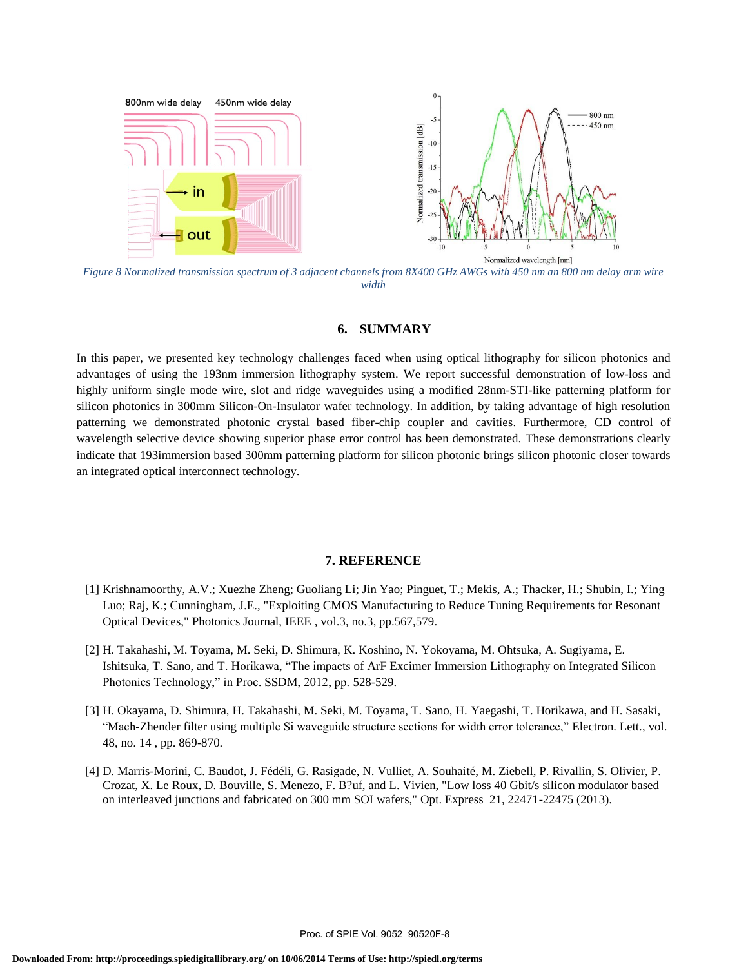

*Figure 8 Normalized transmission spectrum of 3 adjacent channels from 8X400 GHz AWGs with 450 nm an 800 nm delay arm wire width*

# **6. SUMMARY**

In this paper, we presented key technology challenges faced when using optical lithography for silicon photonics and advantages of using the 193nm immersion lithography system. We report successful demonstration of low-loss and highly uniform single mode wire, slot and ridge waveguides using a modified 28nm-STI-like patterning platform for silicon photonics in 300mm Silicon-On-Insulator wafer technology. In addition, by taking advantage of high resolution patterning we demonstrated photonic crystal based fiber-chip coupler and cavities. Furthermore, CD control of wavelength selective device showing superior phase error control has been demonstrated. These demonstrations clearly indicate that 193immersion based 300mm patterning platform for silicon photonic brings silicon photonic closer towards an integrated optical interconnect technology.

#### **7. REFERENCE**

- [1] Krishnamoorthy, A.V.; Xuezhe Zheng; Guoliang Li; Jin Yao; Pinguet, T.; Mekis, A.; Thacker, H.; Shubin, I.; Ying Luo; Raj, K.; Cunningham, J.E., "Exploiting CMOS Manufacturing to Reduce Tuning Requirements for Resonant Optical Devices," Photonics Journal, IEEE , vol.3, no.3, pp.567,579.
- [2] H. Takahashi, M. Toyama, M. Seki, D. Shimura, K. Koshino, N. Yokoyama, M. Ohtsuka, A. Sugiyama, E. Ishitsuka, T. Sano, and T. Horikawa, "The impacts of ArF Excimer Immersion Lithography on Integrated Silicon Photonics Technology," in Proc. SSDM, 2012, pp. 528-529.
- [3] H. Okayama, D. Shimura, H. Takahashi, M. Seki, M. Toyama, T. Sano, H. Yaegashi, T. Horikawa, and H. Sasaki, "Mach-Zhender filter using multiple Si waveguide structure sections for width error tolerance," Electron. Lett., vol. 48, no. 14 , pp. 869-870.
- [4] D. Marris-Morini, C. Baudot, J. Fédéli, G. Rasigade, N. Vulliet, A. Souhaité, M. Ziebell, P. Rivallin, S. Olivier, P. Crozat, X. Le Roux, D. Bouville, S. Menezo, F. B?uf, and L. Vivien, "Low loss 40 Gbit/s silicon modulator based on interleaved junctions and fabricated on 300 mm SOI wafers," Opt. Express 21, 22471-22475 (2013).